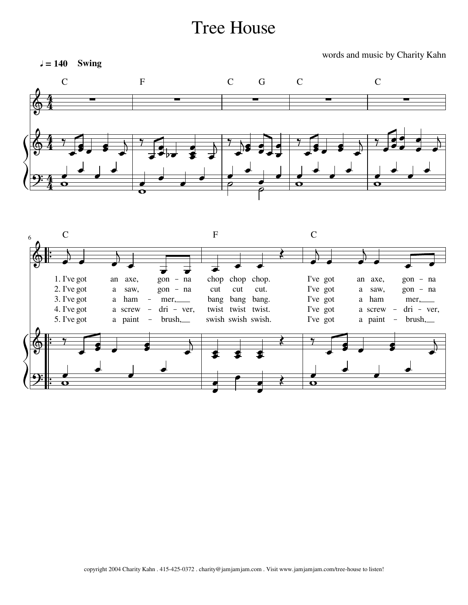## Tree House

words and music by Charity Kahn



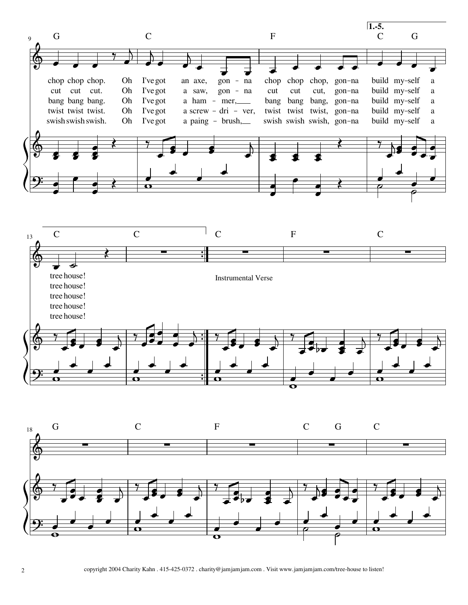





2 copyright 2004 Charity Kahn . 415-425-0372 . charity@jamjamjam.com . Visit www.jamjamjam.com/tree-house to listen!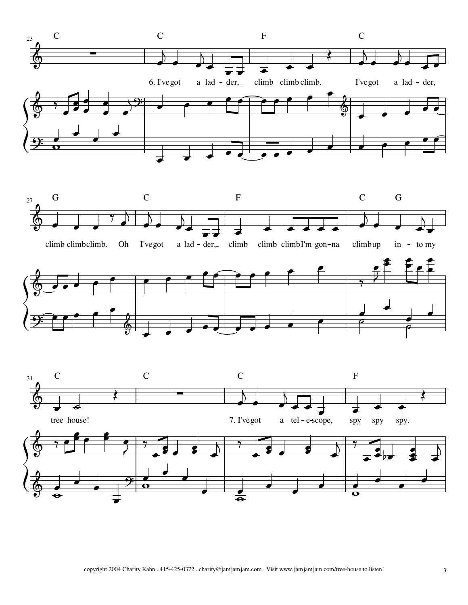